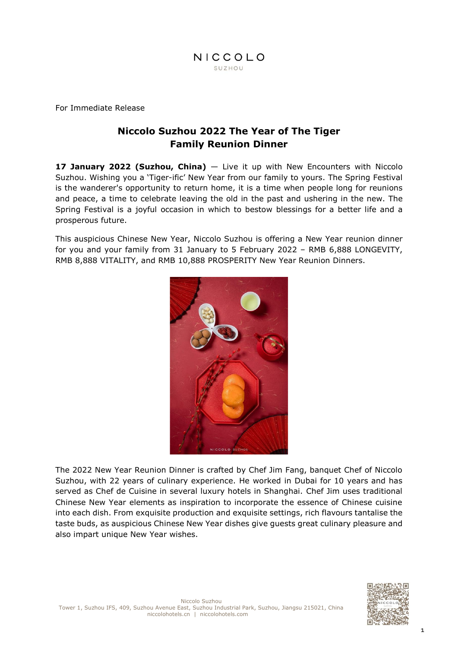

For Immediate Release

# **Niccolo Suzhou 2022 The Year of The Tiger Family Reunion Dinner**

**17 January 2022 (Suzhou, China)** — Live it up with New Encounters with Niccolo Suzhou. Wishing you a 'Tiger-ific' New Year from our family to yours. The Spring Festival is the wanderer's opportunity to return home, it is a time when people long for reunions and peace, a time to celebrate leaving the old in the past and ushering in the new. The Spring Festival is a joyful occasion in which to bestow blessings for a better life and a prosperous future.

This auspicious Chinese New Year, Niccolo Suzhou is offering a New Year reunion dinner for you and your family from 31 January to 5 February 2022 – RMB 6,888 LONGEVITY, RMB 8,888 VITALITY, and RMB 10,888 PROSPERITY New Year Reunion Dinners.



The 2022 New Year Reunion Dinner is crafted by Chef Jim Fang, banquet Chef of Niccolo Suzhou, with 22 years of culinary experience. He worked in Dubai for 10 years and has served as Chef de Cuisine in several luxury hotels in Shanghai. Chef Jim uses traditional Chinese New Year elements as inspiration to incorporate the essence of Chinese cuisine into each dish. From exquisite production and exquisite settings, rich flavours tantalise the taste buds, as auspicious Chinese New Year dishes give guests great culinary pleasure and also impart unique New Year wishes.

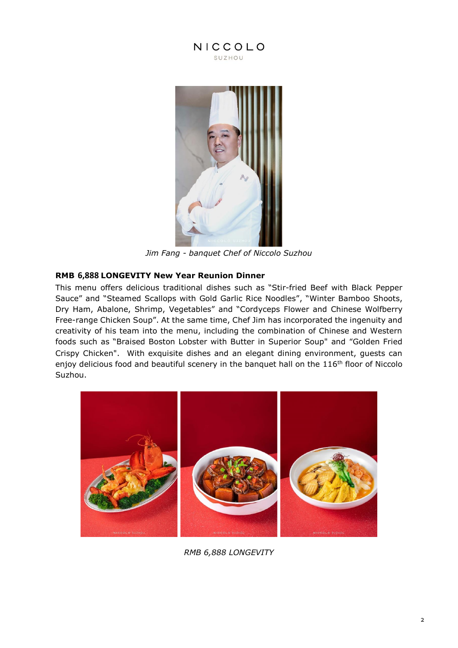



*Jim Fang - banquet Chef of Niccolo Suzhou*

# **RMB 6,888 LONGEVITY New Year Reunion Dinner**

This menu offers delicious traditional dishes such as "Stir-fried Beef with Black Pepper Sauce" and "Steamed Scallops with Gold Garlic Rice Noodles", "Winter Bamboo Shoots, Dry Ham, Abalone, Shrimp, Vegetables" and "Cordyceps Flower and Chinese Wolfberry Free-range Chicken Soup". At the same time, Chef Jim has incorporated the ingenuity and creativity of his team into the menu, including the combination of Chinese and Western foods such as "Braised Boston Lobster with Butter in Superior Soup" and "Golden Fried Crispy Chicken". With exquisite dishes and an elegant dining environment, guests can enjoy delicious food and beautiful scenery in the banquet hall on the 116<sup>th</sup> floor of Niccolo Suzhou.



*RMB 6,888 LONGEVITY*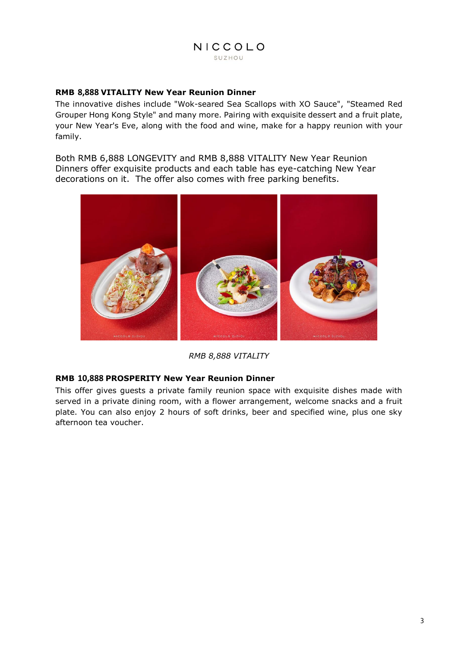# **RMB 8,888 VITALITY New Year Reunion Dinner**

The innovative dishes include "Wok-seared Sea Scallops with XO Sauce", "Steamed Red Grouper Hong Kong Style" and many more. Pairing with exquisite dessert and a fruit plate, your New Year's Eve, along with the food and wine, make for a happy reunion with your family.

Both RMB 6,888 LONGEVITY and RMB 8,888 VITALITY New Year Reunion Dinners offer exquisite products and each table has eye-catching New Year decorations on it. The offer also comes with free parking benefits.



*RMB 8,888 VITALITY*

# **RMB 10,888 PROSPERITY New Year Reunion Dinner**

This offer gives guests a private family reunion space with exquisite dishes made with served in a private dining room, with a flower arrangement, welcome snacks and a fruit plate. You can also enjoy 2 hours of soft drinks, beer and specified wine, plus one sky afternoon tea voucher.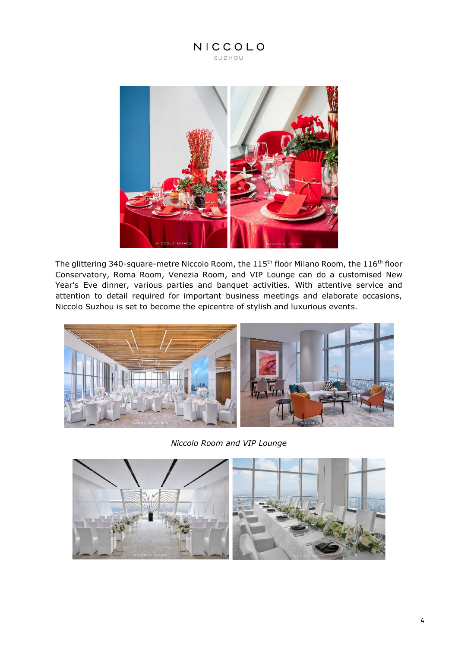

The glittering 340-square-metre Niccolo Room, the 115<sup>th</sup> floor Milano Room, the 116<sup>th</sup> floor Conservatory, Roma Room, Venezia Room, and VIP Lounge can do a customised New Year's Eve dinner, various parties and banquet activities. With attentive service and attention to detail required for important business meetings and elaborate occasions, Niccolo Suzhou is set to become the epicentre of stylish and luxurious events.



*Niccolo Room and VIP Lounge*

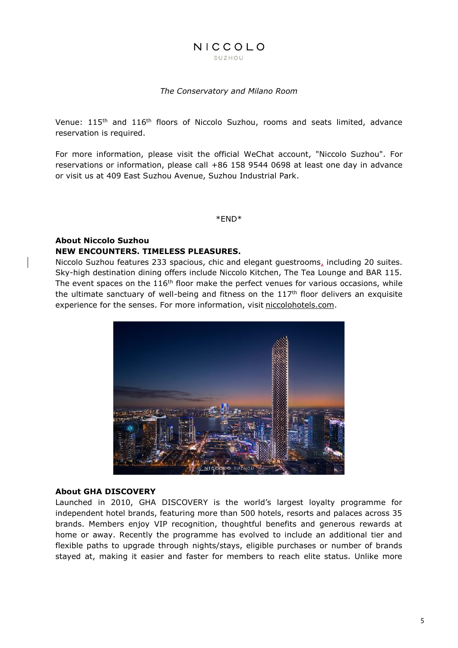## NICCOLO SUZHOU

#### *The Conservatory and Milano Room*

Venue: 115<sup>th</sup> and 116<sup>th</sup> floors of Niccolo Suzhou, rooms and seats limited, advance reservation is required.

For more information, please visit the official WeChat account, "Niccolo Suzhou". For reservations or information, please call +86 158 9544 0698 at least one day in advance or visit us at 409 East Suzhou Avenue, Suzhou Industrial Park.

\*END\*

## **About Niccolo Suzhou NEW ENCOUNTERS. TIMELESS PLEASURES.**

Niccolo Suzhou features 233 spacious, chic and elegant guestrooms, including 20 suites. Sky-high destination dining offers include Niccolo Kitchen, The Tea Lounge and BAR 115. The event spaces on the  $116<sup>th</sup>$  floor make the perfect venues for various occasions, while the ultimate sanctuary of well-being and fitness on the  $117<sup>th</sup>$  floor delivers an exquisite experience for the senses. For more information, visit [niccolohotels.com.](file:///I:/4%20-%20MARCOM/3.%20PR/3.%20Press%20Release/2021.4.16%20approve/Niccolo%20Suzhou%20features%20233%20spacious,%20chic%20and%20elegant%20guestrooms%20including%2020%20suites.%20Sky-high%20destination%20dining%20offers%20include%20Niccolo%20Kitchen,%20The%20Tea%20Lounge%20and%20Bar%20115.%20The%20event%20spaces%20on%20the%20116th%20floor%20make%20the%20perfect%20venues%20for%20various%20occasions,%20while%20the%20ultimate%20sanctuary%20of%20well-being%20and%20fitness%20on%20the%20117th%20floor%20delivers%20an%20exquisite%20experience%20for%20the%20senses.%20For%20further%20information,%20please%20contact%20your%20travel%20professional%20or%20visit%20niccolohotels.com.)



#### **About GHA DISCOVERY**

Launched in 2010, GHA DISCOVERY is the world's largest loyalty programme for independent hotel brands, featuring more than 500 hotels, resorts and palaces across 35 brands. Members enjoy VIP recognition, thoughtful benefits and generous rewards at home or away. Recently the programme has evolved to include an additional tier and flexible paths to upgrade through nights/stays, eligible purchases or number of brands stayed at, making it easier and faster for members to reach elite status. Unlike more